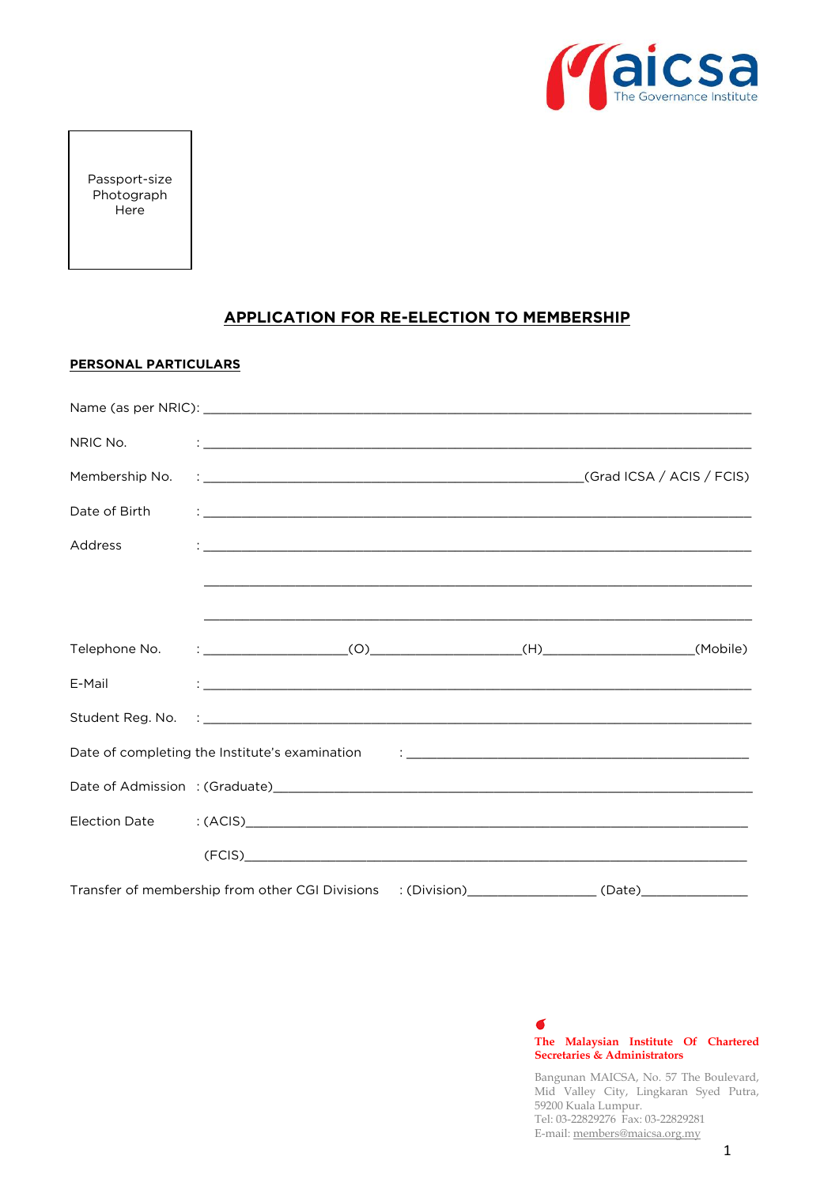

Passport-size Here

### **APPLICATION FOR RE-ELECTION TO MEMBERSHIP**

#### **PERSONAL PARTICULARS**

| NRIC No.       |                                                                                                                       |  |  |
|----------------|-----------------------------------------------------------------------------------------------------------------------|--|--|
| Membership No. |                                                                                                                       |  |  |
| Date of Birth  |                                                                                                                       |  |  |
| Address        |                                                                                                                       |  |  |
|                | <u> 1989 - Johann Harry Harry Harry Harry Harry Harry Harry Harry Harry Harry Harry Harry Harry Harry Harry Harry</u> |  |  |
|                |                                                                                                                       |  |  |
| Telephone No.  |                                                                                                                       |  |  |
| E-Mail         |                                                                                                                       |  |  |
|                |                                                                                                                       |  |  |
|                | Date of completing the Institute's examination                                                                        |  |  |
|                |                                                                                                                       |  |  |
|                |                                                                                                                       |  |  |
|                |                                                                                                                       |  |  |
|                | Transfer of membership from other $CGI$ Divisions $(Division)$ (Division)                                             |  |  |

Transfer of membership from other  $\zeta$  divisions  $\frac{1}{2}$  and  $\frac{1}{2}$  and  $\frac{1}{2}$  and  $\frac{1}{2}$  and  $\frac{1}{2}$  and  $\frac{1}{2}$  and  $\frac{1}{2}$  and  $\frac{1}{2}$  and  $\frac{1}{2}$  and  $\frac{1}{2}$  and  $\frac{1}{2}$  and  $\frac{1}{2}$  and  $\frac$ 



Bangunan MAICSA, No. 57 The Boulevard, Mid Valley City, Lingkaran Syed Putra, 59200 Kuala Lumpur. Tel: 03-22829276 Fax: 03-22829281 E-mail: members@maicsa.org.my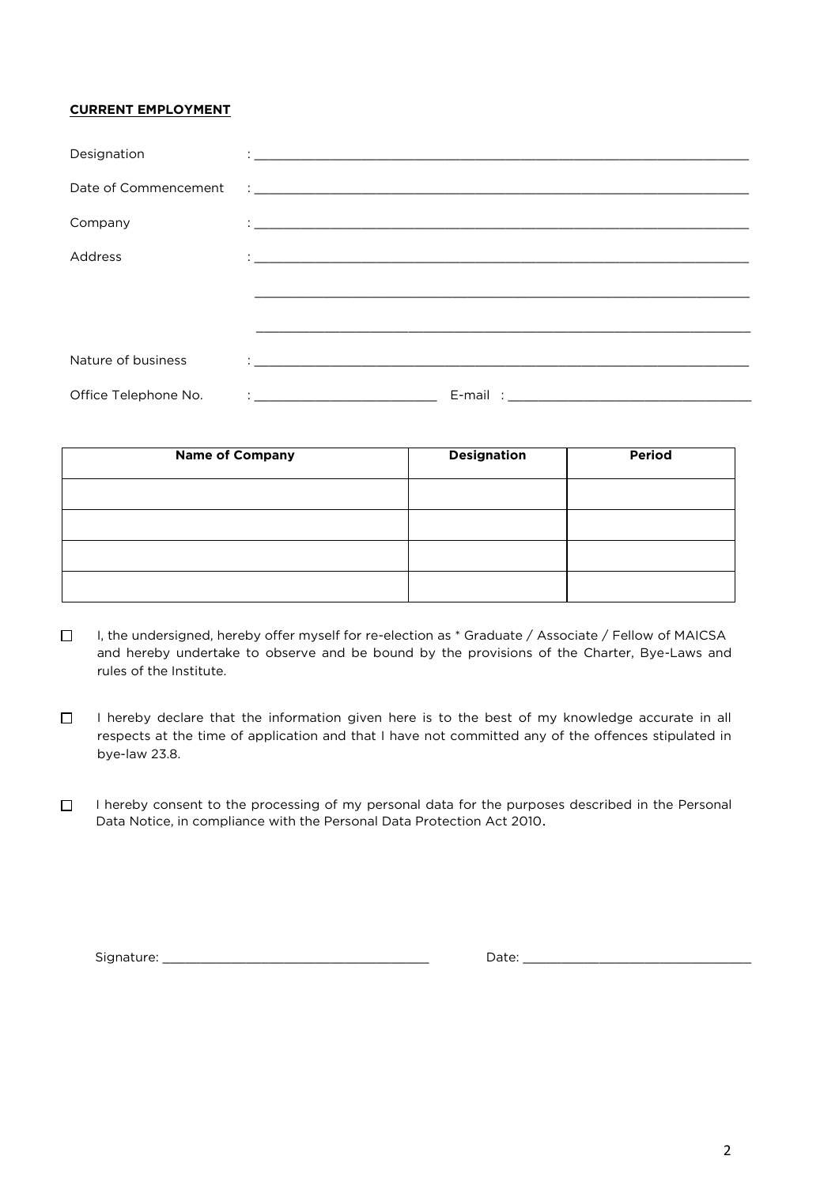#### **CURRENT EMPLOYMENT**

| Designation          | <u> 1986 - Johann John Stein, fransk politik (d. 1986)</u>                      |                                                             |
|----------------------|---------------------------------------------------------------------------------|-------------------------------------------------------------|
| Date of Commencement |                                                                                 |                                                             |
| Company              | 1. 이 사이 시간 시간 시간 시간이 있는 것이 아니라 이 사이 시간이 있는 것이 있다.                               |                                                             |
| Address              |                                                                                 | <u> 1986 - Andrea Andrews, amerikansk politik (d. 1986)</u> |
|                      |                                                                                 |                                                             |
|                      |                                                                                 |                                                             |
| Nature of business   | the contract of the contract of the contract of the contract of the contract of |                                                             |
| Office Telephone No. | The control of the control of the control of                                    |                                                             |

| <b>Name of Company</b> | <b>Designation</b> | Period |
|------------------------|--------------------|--------|
|                        |                    |        |
|                        |                    |        |
|                        |                    |        |
|                        |                    |        |

- $\Box$ I, the understanding for the understanding  $\frac{1}{2}$  as  $\frac{1}{2}$  as  $\frac{1}{2}$  as  $\frac{1}{2}$  as  $\frac{1}{2}$  as  $\frac{1}{2}$  as  $\frac{1}{2}$  as  $\frac{1}{2}$  as  $\frac{1}{2}$  as  $\frac{1}{2}$  as  $\frac{1}{2}$  as  $\frac{1}{2}$  as  $\frac{1}{2}$  and  $\frac{1}{2}$ and hereby undertake to observe and by the provisions of the  $\mathcal{L}_{\text{max}}$ rules of the Institute.
- $\Box$ I hereby declare that the information given here is to the best of my knowledge accurate in all respectively. The time of application and that I have not committed any of the offences stipulated stipulated in  $\frac{1}{2}$ bye-law 23.8.
- $\Box$ Data Notice, in compliance with the Personal Data Protection Act 2010.

Signature: \_\_\_\_\_\_\_\_\_\_\_\_\_\_\_\_\_\_\_\_\_\_\_\_\_\_\_\_\_\_\_\_\_\_\_ Date: \_\_\_\_\_\_\_\_\_\_\_\_\_\_\_\_\_\_\_\_\_\_\_\_\_\_\_\_\_\_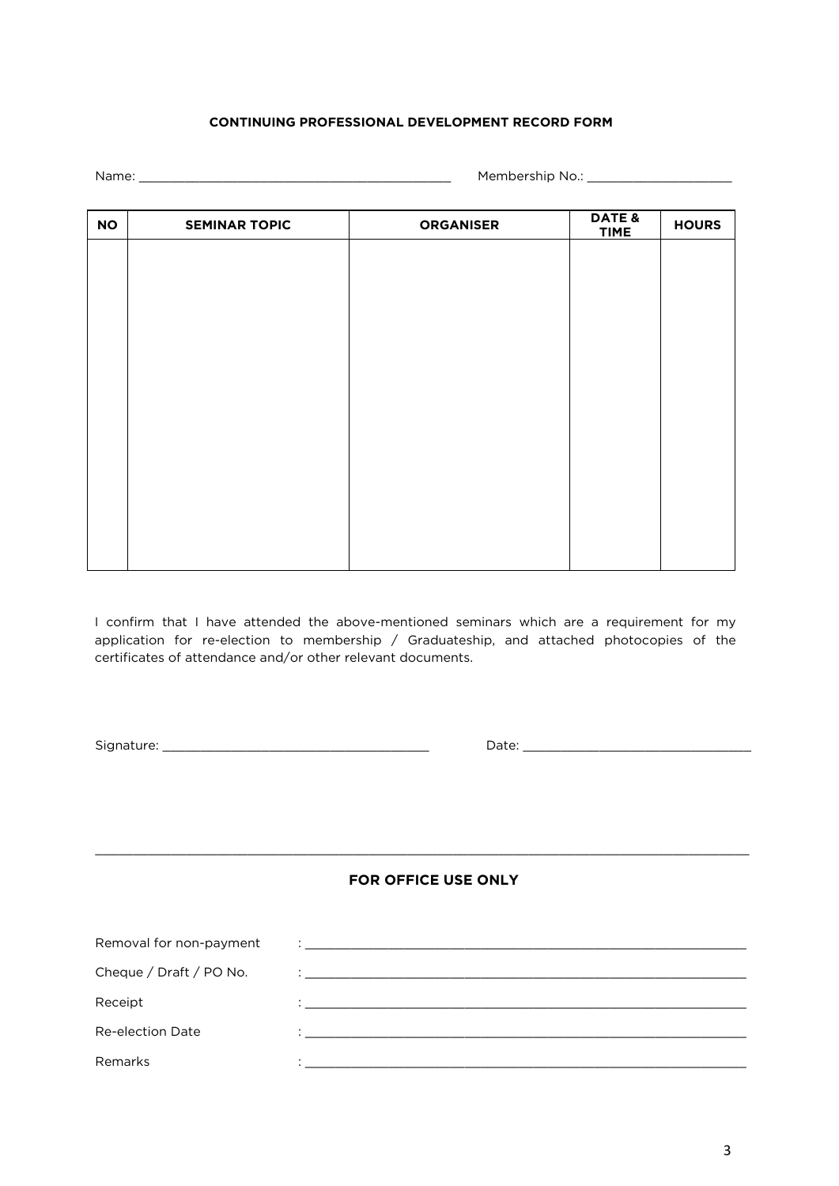## **CONTINUING PROFESSIONAL DEVELOPMENT RECORD FORM**

Name: \_\_\_\_\_\_\_\_\_\_\_\_\_\_\_\_\_\_\_\_\_\_\_\_\_\_\_\_\_\_\_\_\_\_\_\_\_\_\_\_\_ Membership No.: \_\_\_\_\_\_\_\_\_\_\_\_\_\_\_\_\_\_\_

| <b>NO</b> | <b>SEMINAR TOPIC</b> | <b>ORGANISER</b> | DATE &<br><b>TIME</b> | <b>HOURS</b> |
|-----------|----------------------|------------------|-----------------------|--------------|
|           |                      |                  |                       |              |
|           |                      |                  |                       |              |
|           |                      |                  |                       |              |
|           |                      |                  |                       |              |
|           |                      |                  |                       |              |
|           |                      |                  |                       |              |
|           |                      |                  |                       |              |
|           |                      |                  |                       |              |
|           |                      |                  |                       |              |
|           |                      |                  |                       |              |
|           |                      |                  |                       |              |

I confirm that I have attended the above-mentioned seminars which are a requirement for my application for re-election to membership / Graduateship, and attached photocopies of the application for re-election for re-election to membership, and attached photocopies of the photocopies of the  $\epsilon$ certificates of attendance and or other relevant documents. The control or other relevant documents.

Signature: \_\_\_\_\_\_\_\_\_\_\_\_\_\_\_\_\_\_\_\_\_\_\_\_\_\_\_\_\_\_\_\_\_\_\_ Date: \_\_\_\_\_\_\_\_\_\_\_\_\_\_\_\_\_\_\_\_\_\_\_\_\_\_\_\_\_\_

## **FOR OFFICE USE ONLY**

\_\_\_\_\_\_\_\_\_\_\_\_\_\_\_\_\_\_\_\_\_\_\_\_\_\_\_\_\_\_\_\_\_\_\_\_\_\_\_\_\_\_\_\_\_\_\_\_\_\_\_\_\_\_\_\_\_\_\_\_\_\_\_\_\_\_\_\_\_\_\_\_\_\_\_\_\_\_\_\_\_\_\_\_\_\_

| Removal for non-payment | <u> 1980 - Jan Samuel Barbara, martin a</u>            |
|-------------------------|--------------------------------------------------------|
| Cheque / Draft / PO No. |                                                        |
| Receipt                 | <u> 1980 - Andrea Andrew Amerikaanse kommunister (</u> |
| <b>Re-election Date</b> |                                                        |
| Remarks                 |                                                        |
|                         |                                                        |